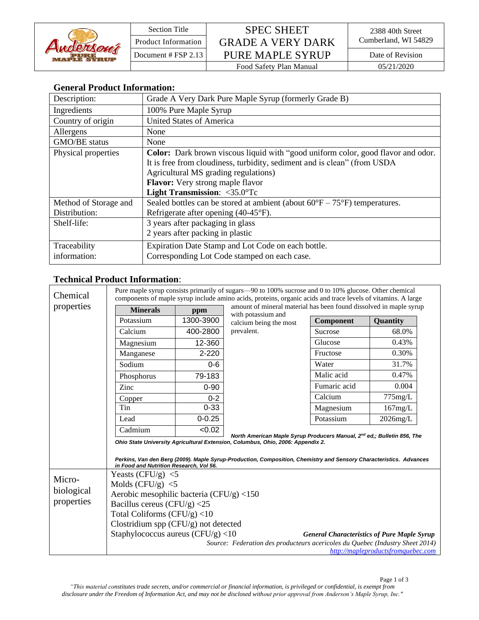

Section Title SPEC SHEET Product Information GRADE A VERY DARK Cumberland, WI 54829 Document # FSP 2.13 PURE MAPLE SYRUP Date of Revision Food Safety Plan Manual 05/21/2020

## **General Product Information:**

| Description:          | Grade A Very Dark Pure Maple Syrup (formerly Grade B)                                      |
|-----------------------|--------------------------------------------------------------------------------------------|
| Ingredients           | 100% Pure Maple Syrup                                                                      |
| Country of origin     | <b>United States of America</b>                                                            |
| Allergens             | None                                                                                       |
| <b>GMO/BE</b> status  | None                                                                                       |
| Physical properties   | <b>Color:</b> Dark brown viscous liquid with "good uniform color, good flavor and odor.    |
|                       | It is free from cloudiness, turbidity, sediment and is clean" (from USDA                   |
|                       | Agricultural MS grading regulations)                                                       |
|                       | <b>Flavor:</b> Very strong maple flavor                                                    |
|                       | Light Transmission: <35.0°Tc                                                               |
| Method of Storage and | Sealed bottles can be stored at ambient (about $60^{\circ}F - 75^{\circ}F$ ) temperatures. |
| Distribution:         | Refrigerate after opening (40-45°F).                                                       |
| Shelf-life:           | 3 years after packaging in glass                                                           |
|                       | 2 years after packing in plastic                                                           |
| Traceability          | Expiration Date Stamp and Lot Code on each bottle.                                         |
| information:          | Corresponding Lot Code stamped on each case.                                               |

## **Technical Product Information**:

| Chemical                           | Pure maple syrup consists primarily of sugars—90 to 100% sucrose and 0 to 10% glucose. Other chemical<br>components of maple syrup include amino acids, proteins, organic acids and trace levels of vitamins. A large |            |                                                                               |                                                                    |                                    |  |  |  |  |
|------------------------------------|-----------------------------------------------------------------------------------------------------------------------------------------------------------------------------------------------------------------------|------------|-------------------------------------------------------------------------------|--------------------------------------------------------------------|------------------------------------|--|--|--|--|
| properties                         | <b>Minerals</b>                                                                                                                                                                                                       | ppm        | with potassium and                                                            | amount of mineral material has been found dissolved in maple syrup |                                    |  |  |  |  |
|                                    | Potassium                                                                                                                                                                                                             | 1300-3900  | calcium being the most                                                        | Component                                                          | Quantity                           |  |  |  |  |
|                                    | Calcium                                                                                                                                                                                                               | 400-2800   | prevalent.                                                                    | Sucrose                                                            | 68.0%                              |  |  |  |  |
|                                    | Magnesium                                                                                                                                                                                                             | 12-360     |                                                                               | Glucose                                                            | 0.43%                              |  |  |  |  |
|                                    | Manganese                                                                                                                                                                                                             | $2 - 220$  |                                                                               | Fructose                                                           | 0.30%                              |  |  |  |  |
|                                    | Sodium                                                                                                                                                                                                                | $0 - 6$    |                                                                               | Water                                                              | 31.7%                              |  |  |  |  |
|                                    | Phosphorus                                                                                                                                                                                                            | 79-183     |                                                                               | Malic acid                                                         | 0.47%                              |  |  |  |  |
|                                    | Zinc                                                                                                                                                                                                                  | $0 - 90$   |                                                                               | Fumaric acid                                                       | 0.004                              |  |  |  |  |
|                                    | Copper                                                                                                                                                                                                                | $0 - 2$    |                                                                               | Calcium                                                            | 775mg/L                            |  |  |  |  |
|                                    | Tin                                                                                                                                                                                                                   | $0 - 33$   |                                                                               | Magnesium                                                          | 167mg/L                            |  |  |  |  |
|                                    | Lead                                                                                                                                                                                                                  | $0 - 0.25$ |                                                                               | Potassium                                                          | $2026$ mg/L                        |  |  |  |  |
|                                    | Cadmium                                                                                                                                                                                                               | < 0.02     |                                                                               |                                                                    |                                    |  |  |  |  |
|                                    | North American Maple Syrup Producers Manual, 2 <sup>nd</sup> ed,; Bulletin 856, The<br>Ohio State University Agricultural Extension, Columbus, Ohio, 2006: Appendix 2.                                                |            |                                                                               |                                                                    |                                    |  |  |  |  |
|                                    | Perkins, Van den Berg (2009). Maple Syrup-Production, Composition, Chemistry and Sensory Characteristics. Advances<br>in Food and Nutrition Research, Vol 56.                                                         |            |                                                                               |                                                                    |                                    |  |  |  |  |
| Micro-<br>biological<br>properties | Yeasts (CFU/g) $<$ 5                                                                                                                                                                                                  |            |                                                                               |                                                                    |                                    |  |  |  |  |
|                                    | Molds $(CFU/g) < 5$                                                                                                                                                                                                   |            |                                                                               |                                                                    |                                    |  |  |  |  |
|                                    | Aerobic mesophilic bacteria (CFU/g) $<$ 150                                                                                                                                                                           |            |                                                                               |                                                                    |                                    |  |  |  |  |
|                                    | Bacillus cereus (CFU/g) $<$ 25                                                                                                                                                                                        |            |                                                                               |                                                                    |                                    |  |  |  |  |
|                                    | Total Coliforms $(CFU/g)$ <10                                                                                                                                                                                         |            |                                                                               |                                                                    |                                    |  |  |  |  |
|                                    | Clostridium spp (CFU/g) not detected                                                                                                                                                                                  |            |                                                                               |                                                                    |                                    |  |  |  |  |
|                                    | Staphylococcus aureus (CFU/g) $<$ 10<br><b>General Characteristics of Pure Maple Syrup</b>                                                                                                                            |            |                                                                               |                                                                    |                                    |  |  |  |  |
|                                    |                                                                                                                                                                                                                       |            | Source: Federation des producteurs acericoles du Quebec (Industry Sheet 2014) |                                                                    | http://mapleproductsfromquebec.com |  |  |  |  |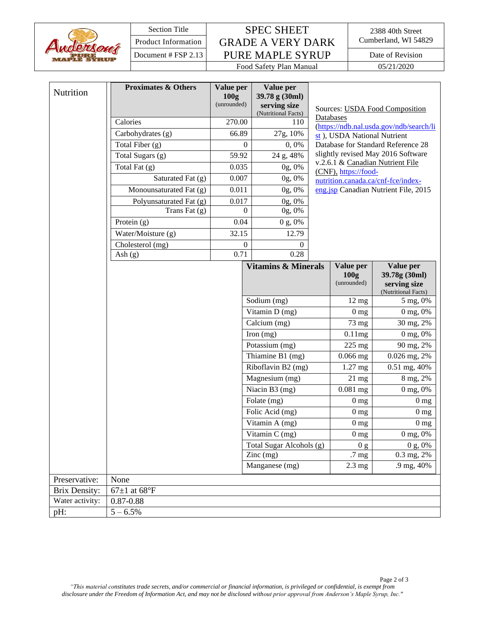

## Section Title SPEC SHEET Product Information GRADE A VERY DARK Cumberland, WI 54829 Document # FSP 2.13 PURE MAPLE SYRUP Date of Revision

2388 40th Street<br>Cumberland, WI 54829

Food Safety Plan Manual 05/21/2020

| Nutrition            | <b>Proximates &amp; Others</b> | Value per<br>100 <sub>g</sub><br>(unrounded) |                  | Value per<br>39.78 g (30ml)<br>serving size<br>(Nutritional Facts)                                                                            | Sources: USDA Food Composition |                                                      |                                                                   |
|----------------------|--------------------------------|----------------------------------------------|------------------|-----------------------------------------------------------------------------------------------------------------------------------------------|--------------------------------|------------------------------------------------------|-------------------------------------------------------------------|
|                      | Calories                       | 270.00                                       |                  | 110                                                                                                                                           |                                | Databases<br>(https://ndb.nal.usda.gov/ndb/search/li |                                                                   |
|                      | Carbohydrates (g)              | 66.89                                        |                  | 27g, 10%                                                                                                                                      |                                | st), USDA National Nutrient                          |                                                                   |
|                      | Total Fiber (g)                |                                              | $\overline{0}$   | 0,0%                                                                                                                                          |                                |                                                      | Database for Standard Reference 28                                |
|                      | Total Sugars (g)               | 59.92                                        |                  | 24 g, 48%                                                                                                                                     |                                |                                                      | slightly revised May 2016 Software                                |
|                      | Total Fat (g)                  | 0.035                                        |                  | 0g, 0%                                                                                                                                        |                                | (CNF), https://food-                                 | v.2.6.1 & Canadian Nutrient File                                  |
|                      | Saturated Fat (g)              | 0.007                                        |                  | 0g, 0%                                                                                                                                        |                                |                                                      | nutrition.canada.ca/cnf-fce/index-                                |
|                      | Monounsaturated Fat (g)        | 0.011                                        |                  | 0g, 0%                                                                                                                                        |                                |                                                      | eng.jsp Canadian Nutrient File, 2015                              |
|                      | Polyunsaturated Fat (g)        | 0.017                                        |                  | 0g, 0%                                                                                                                                        |                                |                                                      |                                                                   |
|                      | Trans Fat (g)                  | $\Omega$                                     |                  | 0g, 0%                                                                                                                                        |                                |                                                      |                                                                   |
|                      | Protein $(g)$                  |                                              | 0.04             | 0 g, 0%                                                                                                                                       |                                |                                                      |                                                                   |
|                      | Water/Moisture (g)             | 32.15                                        |                  | 12.79                                                                                                                                         |                                |                                                      |                                                                   |
|                      | Cholesterol (mg)               |                                              | $\boldsymbol{0}$ | 0                                                                                                                                             |                                |                                                      |                                                                   |
|                      | Ash $(g)$                      |                                              | 0.71             | 0.28                                                                                                                                          |                                |                                                      |                                                                   |
|                      |                                |                                              |                  | <b>Vitamins &amp; Minerals</b>                                                                                                                |                                | Value per<br>100g<br>(unrounded)                     | Value per<br>39.78g (30ml)<br>serving size<br>(Nutritional Facts) |
|                      |                                |                                              |                  | Sodium (mg)                                                                                                                                   |                                | $12 \text{ mg}$                                      | 5 mg, 0%                                                          |
|                      |                                |                                              |                  | Vitamin D (mg)<br>Calcium (mg)<br>Iron $(mg)$<br>Potassium (mg)<br>Thiamine B1 (mg)<br>Riboflavin B2 (mg)<br>Magnesium (mg)<br>Niacin B3 (mg) |                                | 0 <sub>mg</sub>                                      | 0 mg, 0%                                                          |
|                      |                                |                                              |                  |                                                                                                                                               |                                | 73 mg                                                | 30 mg, 2%                                                         |
|                      |                                |                                              |                  |                                                                                                                                               |                                | 0.11mg                                               | 0 mg, 0%                                                          |
|                      |                                |                                              |                  |                                                                                                                                               |                                | 225 mg                                               | 90 mg, 2%                                                         |
|                      |                                |                                              |                  |                                                                                                                                               |                                | $0.066$ mg                                           | 0.026 mg, 2%                                                      |
|                      |                                |                                              |                  |                                                                                                                                               |                                | 1.27 mg                                              | 0.51 mg, 40%                                                      |
|                      |                                |                                              |                  |                                                                                                                                               |                                | $21$ mg                                              | 8 mg, 2%                                                          |
|                      |                                |                                              |                  |                                                                                                                                               |                                | $0.081$ mg                                           | 0 mg, 0%                                                          |
|                      |                                |                                              |                  | Folate (mg)                                                                                                                                   |                                | 0 <sub>mg</sub>                                      | 0 <sub>mg</sub>                                                   |
|                      |                                |                                              |                  | Folic Acid (mg)                                                                                                                               |                                | 0 <sub>mg</sub>                                      | 0 <sub>mg</sub>                                                   |
|                      |                                |                                              |                  | Vitamin A (mg)                                                                                                                                |                                | 0 <sub>mg</sub>                                      | 0 <sub>mg</sub>                                                   |
|                      |                                |                                              |                  | $\overline{\text{V}}$ itamin C (mg)                                                                                                           |                                | $0\:\rm mg$                                          | 0 mg, 0%                                                          |
|                      |                                |                                              |                  | Total Sugar Alcohols (g)                                                                                                                      |                                | 0 <sub>g</sub>                                       | 0 g, 0%                                                           |
|                      |                                |                                              |                  | $\text{Zinc}$ (mg)                                                                                                                            |                                | .7 mg                                                | 0.3 mg, 2%                                                        |
|                      |                                |                                              |                  | Manganese (mg)                                                                                                                                |                                | $2.3 \text{ mg}$                                     | .9 mg, 40%                                                        |
| Preservative:        | None                           |                                              |                  |                                                                                                                                               |                                |                                                      |                                                                   |
| <b>Brix Density:</b> | 67 $\pm$ 1 at 68°F             |                                              |                  |                                                                                                                                               |                                |                                                      |                                                                   |
| Water activity:      | $0.87 - 0.88$                  |                                              |                  |                                                                                                                                               |                                |                                                      |                                                                   |
| pH:                  | $5 - 6.5\%$                    |                                              |                  |                                                                                                                                               |                                |                                                      |                                                                   |